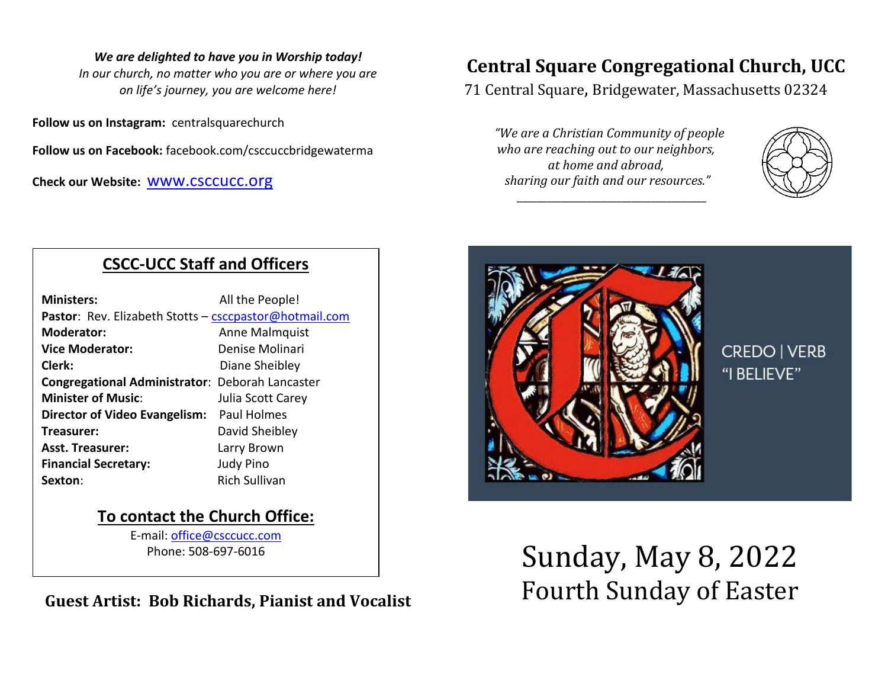#### *We are delighted to have you in Worship today!*

*In our church, no matter who you are or where you are on life's journey, you are welcome here!*

**Follow us on Instagram:** centralsquarechurch

**Follow us on Facebook:** facebook.com/csccuccbridgewaterma

**Check our Website:** [www.csccucc.org](about:blank)

# **Central Square Congregational Church, UCC**

71 Central Square, Bridgewater, Massachusetts 02324

*"We are a Christian Community of people who are reaching out to our neighbors, at home and abroad, sharing our faith and our resources."*

*\_\_\_\_\_\_\_\_\_\_\_\_\_\_\_\_\_\_\_\_\_\_\_\_\_\_\_\_\_\_\_\_\_\_\_\_\_\_*





**CREDO | VERB** "I BELIEVE"

# **CSCC-UCC Staff and Officers**

| <b>Ministers:</b>                                      | All the People!      |
|--------------------------------------------------------|----------------------|
| Pastor: Rev. Elizabeth Stotts - csccpastor@hotmail.com |                      |
| <b>Moderator:</b>                                      | Anne Malmquist       |
| <b>Vice Moderator:</b>                                 | Denise Molinari      |
| Clerk:                                                 | Diane Sheibley       |
| Congregational Administrator: Deborah Lancaster        |                      |
| <b>Minister of Music:</b>                              | Julia Scott Carey    |
| Director of Video Evangelism:                          | Paul Holmes          |
| Treasurer:                                             | David Sheibley       |
| <b>Asst. Treasurer:</b>                                | Larry Brown          |
| <b>Financial Secretary:</b>                            | <b>Judy Pino</b>     |
| Sexton:                                                | <b>Rich Sullivan</b> |

## **To contact the Church Office:**

E-mail: [office@csccucc.com](mailto:office@csccucc.com) Phone: 508-697-6016

**Guest Artist: Bob Richards, Pianist and Vocalist**

Sunday, May 8, 2022 Fourth Sunday of Easter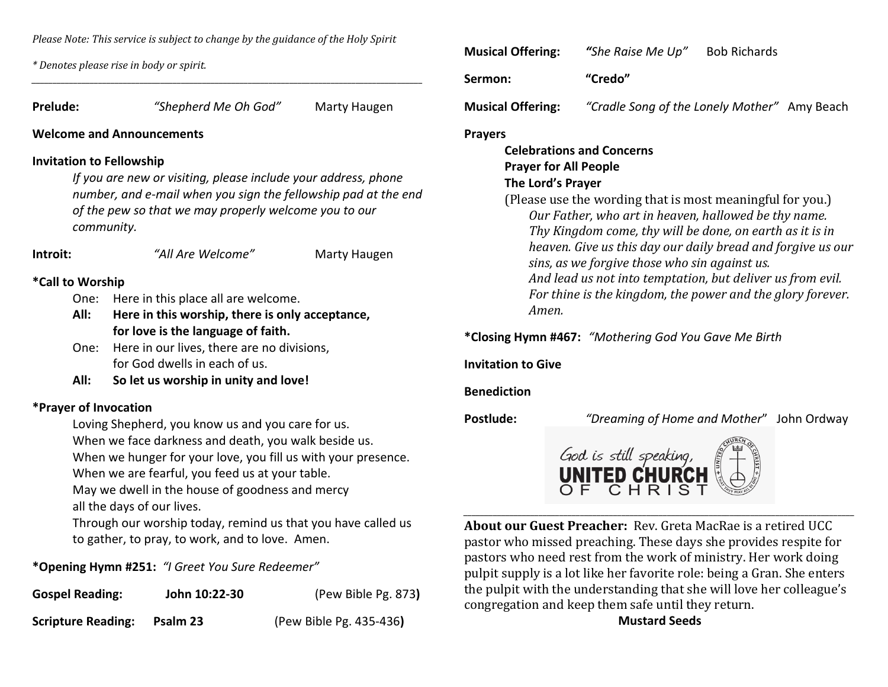*Please Note: This service is subject to change by the guidance of the Holy Spirit*

*\_\_\_\_\_\_\_\_\_\_\_\_\_\_\_\_\_\_\_\_\_\_\_\_\_\_\_\_\_\_\_\_\_\_\_\_\_\_\_\_\_\_\_\_\_\_\_\_\_\_\_\_\_\_\_\_\_\_\_\_\_\_\_\_\_\_\_\_\_\_\_\_\_\_\_\_\_\_\_\_\_\_\_\_\_\_\_\_\_\_\_\_\_\_*

*\* Denotes please rise in body or spirit.*

| <b>Prelude:</b>  |                                                              | "Shepherd Me Oh God"                                                                                                                                                                                                         | Marty Haugen | N   |
|------------------|--------------------------------------------------------------|------------------------------------------------------------------------------------------------------------------------------------------------------------------------------------------------------------------------------|--------------|-----|
|                  |                                                              | <b>Welcome and Announcements</b>                                                                                                                                                                                             |              | P   |
|                  |                                                              | <b>Invitation to Fellowship</b><br>If you are new or visiting, please include your address, phone<br>number, and e-mail when you sign the fellowship pad at the end<br>of the pew so that we may properly welcome you to our |              |     |
|                  |                                                              | community.                                                                                                                                                                                                                   |              |     |
| Introit:         |                                                              | "All Are Welcome"                                                                                                                                                                                                            | Marty Haugen |     |
| *Call to Worship |                                                              |                                                                                                                                                                                                                              |              |     |
|                  | One:                                                         | Here in this place all are welcome.                                                                                                                                                                                          |              |     |
|                  | All:                                                         | Here in this worship, there is only acceptance,                                                                                                                                                                              |              |     |
|                  |                                                              | for love is the language of faith.                                                                                                                                                                                           |              |     |
|                  | Here in our lives, there are no divisions,<br>One:           |                                                                                                                                                                                                                              |              | $*$ |
|                  | for God dwells in each of us.                                |                                                                                                                                                                                                                              |              | Ir  |
|                  | All:<br>So let us worship in unity and love!                 |                                                                                                                                                                                                                              |              |     |
|                  |                                                              | *Prayer of Invocation                                                                                                                                                                                                        |              | B   |
|                  |                                                              | Loving Shepherd, you know us and you care for us.                                                                                                                                                                            |              | P   |
|                  |                                                              | When we face darkness and death, you walk beside us.                                                                                                                                                                         |              |     |
|                  |                                                              | When we hunger for your love, you fill us with your presence.                                                                                                                                                                |              |     |
|                  | When we are fearful, you feed us at your table.              |                                                                                                                                                                                                                              |              |     |
|                  | May we dwell in the house of goodness and mercy              |                                                                                                                                                                                                                              |              |     |
|                  | all the days of our lives.                                   |                                                                                                                                                                                                                              |              |     |
|                  | Through our worship today, remind us that you have called us |                                                                                                                                                                                                                              |              |     |

to gather, to pray, to work, and to love. Amen.

**\*Opening Hymn #251:** *"I Greet You Sure Redeemer"*

| <b>Gospel Reading:</b>    | John 10:22-30 | (Pew Bible Pg. 873)     |
|---------------------------|---------------|-------------------------|
| <b>Scripture Reading:</b> | Psalm 23      | (Pew Bible Pg. 435-436) |

| <b>Musical Offering:</b> | "She Raise Me Up"                            | <b>Bob Richards</b> |  |
|--------------------------|----------------------------------------------|---------------------|--|
| Sermon:                  | "Credo"                                      |                     |  |
| <b>Musical Offering:</b> | "Cradle Song of the Lonely Mother" Amy Beach |                     |  |

**Prayers**

### **Celebrations and Concerns Prayer for All People The Lord's Prayer**

(Please use the wording that is most meaningful for you.) *Our Father, who art in heaven, hallowed be thy name. Thy Kingdom come, thy will be done, on earth as it is in heaven. Give us this day our daily bread and forgive us our sins, as we forgive those who sin against us. And lead us not into temptation, but deliver us from evil. For thine is the kingdom, the power and the glory forever. Amen.*

**\*Closing Hymn #467:** *"Mothering God You Gave Me Birth*

**Invitation to Give**

**Benediction**

**Postlude:** *"Dreaming of Home and Mother*" John Ordway



*\_\_\_\_\_\_\_\_\_\_\_\_\_\_\_\_\_\_\_\_\_\_\_\_\_\_\_\_\_\_\_\_\_\_\_\_\_\_\_\_\_\_\_\_\_\_\_\_\_\_\_\_\_\_\_\_\_\_\_\_\_\_\_\_\_\_\_\_\_\_\_\_\_\_\_\_\_\_\_\_\_\_\_\_\_\_\_\_\_\_\_\_\_\_* **About our Guest Preacher:** Rev. Greta MacRae is a retired UCC pastor who missed preaching. These days she provides respite for pastors who need rest from the work of ministry. Her work doing pulpit supply is a lot like her favorite role: being a Gran. She enters the pulpit with the understanding that she will love her colleague's congregation and keep them safe until they return.

**Mustard Seeds**